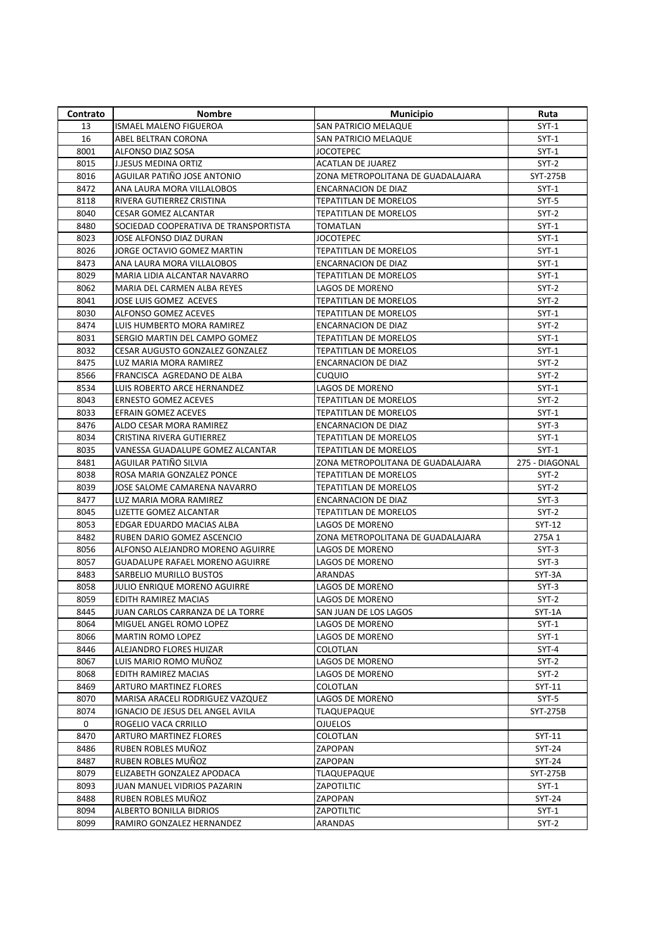| Contrato | Nombre                                 | <b>Municipio</b>                  | Ruta           |
|----------|----------------------------------------|-----------------------------------|----------------|
| 13       | ISMAEL MALENO FIGUEROA                 | SAN PATRICIO MELAQUE              | $SYT-1$        |
| 16       | ABEL BELTRAN CORONA                    | SAN PATRICIO MELAQUE              | $SYT-1$        |
| 8001     | ALFONSO DIAZ SOSA                      | <b>JOCOTEPEC</b>                  | $SYT-1$        |
| 8015     | <b>J.JESUS MEDINA ORTIZ</b>            | <b>ACATLAN DE JUAREZ</b>          | $SYT-2$        |
| 8016     | AGUILAR PATIÑO JOSE ANTONIO            | ZONA METROPOLITANA DE GUADALAJARA | SYT-275B       |
| 8472     | ANA LAURA MORA VILLALOBOS              | <b>ENCARNACION DE DIAZ</b>        | $SYT-1$        |
| 8118     | RIVERA GUTIERREZ CRISTINA              | TEPATITLAN DE MORELOS             | SYT-5          |
| 8040     | <b>CESAR GOMEZ ALCANTAR</b>            | <b>TEPATITLAN DE MORELOS</b>      | $SYT-2$        |
| 8480     | SOCIEDAD COOPERATIVA DE TRANSPORTISTA  | TOMATLAN                          | SYT-1          |
| 8023     | JOSE ALFONSO DIAZ DURAN                | <b>JOCOTEPEC</b>                  | $SYT-1$        |
| 8026     | JORGE OCTAVIO GOMEZ MARTIN             | <b>TEPATITLAN DE MORELOS</b>      | $SYT-1$        |
| 8473     | ANA LAURA MORA VILLALOBOS              | <b>ENCARNACION DE DIAZ</b>        | SYT-1          |
| 8029     | MARIA LIDIA ALCANTAR NAVARRO           | TEPATITLAN DE MORELOS             | $SYT-1$        |
| 8062     | MARIA DEL CARMEN ALBA REYES            | LAGOS DE MORENO                   | $SYT-2$        |
| 8041     | JOSE LUIS GOMEZ ACEVES                 | TEPATITLAN DE MORELOS             | SYT-2          |
| 8030     | ALFONSO GOMEZ ACEVES                   | <b>TEPATITLAN DE MORELOS</b>      | $SYT-1$        |
| 8474     | LUIS HUMBERTO MORA RAMIREZ             | <b>ENCARNACION DE DIAZ</b>        | $SYT-2$        |
| 8031     | SERGIO MARTIN DEL CAMPO GOMEZ          | TEPATITLAN DE MORELOS             | $SYT-1$        |
| 8032     | CESAR AUGUSTO GONZALEZ GONZALEZ        | TEPATITLAN DE MORELOS             | SYT-1          |
| 8475     | LUZ MARIA MORA RAMIREZ                 | <b>ENCARNACION DE DIAZ</b>        | $SYT-2$        |
| 8566     | FRANCISCA AGREDANO DE ALBA             | CUQUIO                            | $SYT-2$        |
| 8534     | LUIS ROBERTO ARCE HERNANDEZ            | LAGOS DE MORENO                   | $SYT-1$        |
| 8043     | <b>ERNESTO GOMEZ ACEVES</b>            | <b>TEPATITLAN DE MORELOS</b>      | $SYT-2$        |
| 8033     | EFRAIN GOMEZ ACEVES                    | <b>TEPATITLAN DE MORELOS</b>      | $SYT-1$        |
| 8476     | ALDO CESAR MORA RAMIREZ                | <b>ENCARNACION DE DIAZ</b>        | $SYT-3$        |
| 8034     | CRISTINA RIVERA GUTIERREZ              | TEPATITLAN DE MORELOS             | $SYT-1$        |
| 8035     | VANESSA GUADALUPE GOMEZ ALCANTAR       | TEPATITLAN DE MORELOS             | $SYT-1$        |
| 8481     | AGUILAR PATIÑO SILVIA                  | ZONA METROPOLITANA DE GUADALAJARA | 275 - DIAGONAL |
| 8038     | ROSA MARIA GONZALEZ PONCE              | <b>TEPATITLAN DE MORELOS</b>      | $SYT-2$        |
| 8039     | JOSE SALOME CAMARENA NAVARRO           | TEPATITLAN DE MORELOS             | $SYT-2$        |
| 8477     | LUZ MARIA MORA RAMIREZ                 | <b>ENCARNACION DE DIAZ</b>        | $SYT-3$        |
| 8045     | LIZETTE GOMEZ ALCANTAR                 | TEPATITLAN DE MORELOS             | $SYT-2$        |
| 8053     | EDGAR EDUARDO MACIAS ALBA              | LAGOS DE MORENO                   | SYT-12         |
| 8482     | RUBEN DARIO GOMEZ ASCENCIO             | ZONA METROPOLITANA DE GUADALAJARA | 275A 1         |
| 8056     | ALFONSO ALEJANDRO MORENO AGUIRRE       | LAGOS DE MORENO                   | $SYT-3$        |
| 8057     | <b>GUADALUPE RAFAEL MORENO AGUIRRE</b> | <b>LAGOS DE MORENO</b>            | $SYT-3$        |
| 8483     | SARBELIO MURILLO BUSTOS                | ARANDAS                           | SYT-3A         |
| 8058     | JULIO ENRIQUE MORENO AGUIRRE           | <b>LAGOS DE MORENO</b>            | $SYT-3$        |
| 8059     | EDITH RAMIREZ MACIAS                   | LAGOS DE MORENO                   | $SYT-2$        |
| 8445     | JUAN CARLOS CARRANZA DE LA TORRE       | SAN JUAN DE LOS LAGOS             | $SYT-1A$       |
| 8064     | MIGUEL ANGEL ROMO LOPEZ                | LAGOS DE MORENO                   | $SYT-1$        |
| 8066     | <b>MARTIN ROMO LOPEZ</b>               | LAGOS DE MORENO                   | $SYT-1$        |
| 8446     | ALEJANDRO FLORES HUIZAR                | COLOTLAN                          | $SYT-4$        |
| 8067     | LUIS MARIO ROMO MUÑOZ                  | LAGOS DE MORENO                   | SYT-2          |
| 8068     | EDITH RAMIREZ MACIAS                   | LAGOS DE MORENO                   | $SYT-2$        |
| 8469     | ARTURO MARTINEZ FLORES                 | COLOTLAN                          | SYT-11         |
| 8070     | MARISA ARACELI RODRIGUEZ VAZQUEZ       | LAGOS DE MORENO                   | SYT-5          |
| 8074     | IGNACIO DE JESUS DEL ANGEL AVILA       | TLAQUEPAQUE                       | SYT-275B       |
| 0        | ROGELIO VACA CRRILLO                   | <b>OJUELOS</b>                    |                |
| 8470     | ARTURO MARTINEZ FLORES                 | COLOTLAN                          | SYT-11         |
| 8486     | RUBEN ROBLES MUÑOZ                     | ZAPOPAN                           | SYT-24         |
| 8487     | RUBEN ROBLES MUÑOZ                     | ZAPOPAN                           | SYT-24         |
| 8079     | ELIZABETH GONZALEZ APODACA             | <b>TLAQUEPAQUE</b>                | SYT-275B       |
| 8093     | JUAN MANUEL VIDRIOS PAZARIN            | ZAPOTILTIC                        | $SYT-1$        |
| 8488     | RUBEN ROBLES MUÑOZ                     | ZAPOPAN                           | SYT-24         |
| 8094     | ALBERTO BONILLA BIDRIOS                | ZAPOTILTIC                        | $SYT-1$        |
| 8099     | RAMIRO GONZALEZ HERNANDEZ              | ARANDAS                           | $SYT-2$        |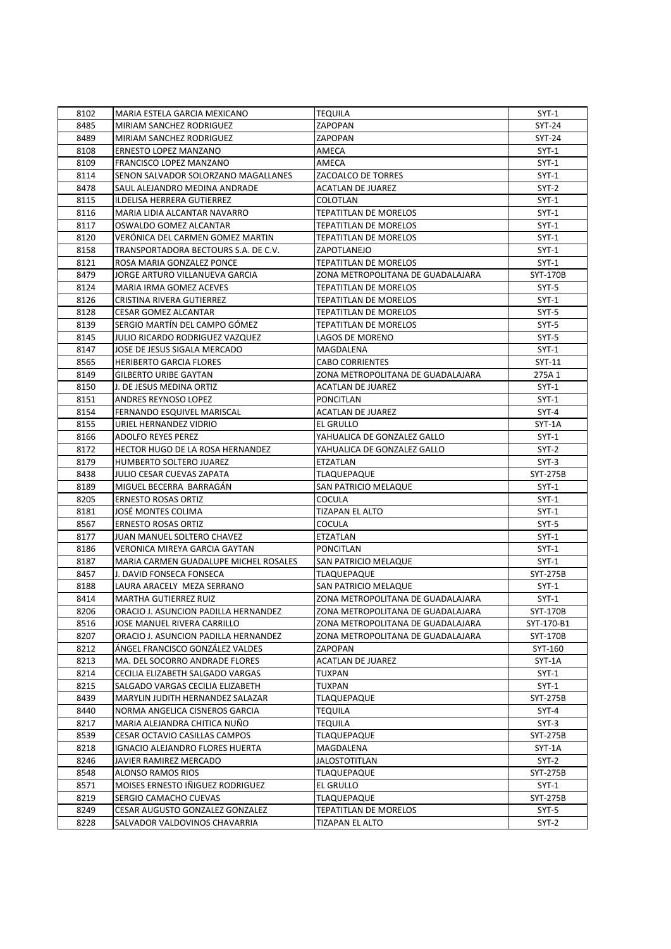| 8102 | MARIA ESTELA GARCIA MEXICANO          | <b>TEQUILA</b>                    | $SYT-1$    |
|------|---------------------------------------|-----------------------------------|------------|
| 8485 | MIRIAM SANCHEZ RODRIGUEZ              | ZAPOPAN                           | SYT-24     |
| 8489 | MIRIAM SANCHEZ RODRIGUEZ              | ZAPOPAN                           | SYT-24     |
| 8108 | ERNESTO LOPEZ MANZANO                 | AMECA                             | $SYT-1$    |
| 8109 | FRANCISCO LOPEZ MANZANO               | AMECA                             | $SYT-1$    |
| 8114 | SENON SALVADOR SOLORZANO MAGALLANES   | ZACOALCO DE TORRES                | SYT-1      |
| 8478 | SAUL ALEJANDRO MEDINA ANDRADE         | <b>ACATLAN DE JUAREZ</b>          | SYT-2      |
| 8115 | ILDELISA HERRERA GUTIERREZ            | COLOTLAN                          | $SYT-1$    |
| 8116 | MARIA LIDIA ALCANTAR NAVARRO          | TEPATITLAN DE MORELOS             | $SYT-1$    |
| 8117 | OSWALDO GOMEZ ALCANTAR                | <b>TEPATITLAN DE MORELOS</b>      | $SYT-1$    |
| 8120 | VERÔNICA DEL CARMEN GOMEZ MARTIN      | <b>TEPATITLAN DE MORELOS</b>      | $SYT-1$    |
| 8158 | TRANSPORTADORA BECTOURS S.A. DE C.V.  | ZAPOTLANEJO                       | $SYT-1$    |
| 8121 | ROSA MARIA GONZALEZ PONCE             | <b>TEPATITLAN DE MORELOS</b>      | $SYT-1$    |
| 8479 | JORGE ARTURO VILLANUEVA GARCIA        | ZONA METROPOLITANA DE GUADALAJARA | SYT-170B   |
| 8124 | MARIA IRMA GOMEZ ACEVES               | <b>TEPATITLAN DE MORELOS</b>      | $SYT-5$    |
| 8126 | CRISTINA RIVERA GUTIERREZ             | <b>TEPATITLAN DE MORELOS</b>      | $SYT-1$    |
| 8128 | <b>CESAR GOMEZ ALCANTAR</b>           | <b>TEPATITLAN DE MORELOS</b>      | $SYT-5$    |
| 8139 | SERGIO MARTÍN DEL CAMPO GÓMEZ         | <b>TEPATITLAN DE MORELOS</b>      | $SYT-5$    |
| 8145 | JULIO RICARDO RODRIGUEZ VAZQUEZ       | LAGOS DE MORENO                   | $SYT-5$    |
| 8147 | JOSE DE JESUS SIGALA MERCADO          | MAGDALENA                         | $SYT-1$    |
| 8565 | <b>HERIBERTO GARCIA FLORES</b>        | <b>CABO CORRIENTES</b>            | SYT-11     |
| 8149 | <b>GILBERTO URIBE GAYTAN</b>          | ZONA METROPOLITANA DE GUADALAJARA | 275A 1     |
| 8150 | J. DE JESUS MEDINA ORTIZ              | <b>ACATLAN DE JUAREZ</b>          | $SYT-1$    |
| 8151 | ANDRES REYNOSO LOPEZ                  | PONCITLAN                         | $SYT-1$    |
| 8154 | FERNANDO ESQUIVEL MARISCAL            | <b>ACATLAN DE JUAREZ</b>          | $SYT-4$    |
| 8155 | URIEL HERNANDEZ VIDRIO                | <b>EL GRULLO</b>                  | SYT-1A     |
| 8166 | ADOLFO REYES PEREZ                    | YAHUALICA DE GONZALEZ GALLO       | $SYT-1$    |
| 8172 | HECTOR HUGO DE LA ROSA HERNANDEZ      | YAHUALICA DE GONZALEZ GALLO       | SYT-2      |
| 8179 | HUMBERTO SOLTERO JUAREZ               | ETZATLAN                          | $SYT-3$    |
| 8438 | JULIO CESAR CUEVAS ZAPATA             | <b>TLAQUEPAQUE</b>                | SYT-275B   |
| 8189 | MIGUEL BECERRA BARRAGAN               | SAN PATRICIO MELAQUE              | $SYT-1$    |
| 8205 | <b>ERNESTO ROSAS ORTIZ</b>            | COCULA                            | SYT-1      |
| 8181 | JOSÉ MONTES COLIMA                    | <b>TIZAPAN EL ALTO</b>            | $SYT-1$    |
| 8567 | <b>ERNESTO ROSAS ORTIZ</b>            | COCULA                            | $SYT-5$    |
| 8177 | JUAN MANUEL SOLTERO CHAVEZ            | ETZATLAN                          | $SYT-1$    |
| 8186 | VERONICA MIREYA GARCIA GAYTAN         | <b>PONCITLAN</b>                  | $SYT-1$    |
| 8187 | MARIA CARMEN GUADALUPE MICHEL ROSALES | SAN PATRICIO MELAQUE              | $SYT-1$    |
| 8457 | J. DAVID FONSECA FONSECA              | <b>TLAQUEPAQUE</b>                | SYT-275B   |
| 8188 | LAURA ARACELY MEZA SERRANO            | SAN PATRICIO MELAQUE              | $SYT-1$    |
| 8414 | MARTHA GUTIERREZ RUIZ                 | ZONA METROPOLITANA DE GUADALAJARA | $SYT-1$    |
| 8206 | ORACIO J. ASUNCION PADILLA HERNANDEZ  | ZONA METROPOLITANA DE GUADALAJARA | SYT-170B   |
| 8516 | JOSE MANUEL RIVERA CARRILLO           | ZONA METROPOLITANA DE GUADALAJARA | SYT-170-B1 |
| 8207 | ORACIO J. ASUNCION PADILLA HERNANDEZ  | ZONA METROPOLITANA DE GUADALAJARA | SYT-170B   |
| 8212 | ANGEL FRANCISCO GONZALEZ VALDES       | ZAPOPAN                           | SYT-160    |
| 8213 | MA. DEL SOCORRO ANDRADE FLORES        | <b>ACATLAN DE JUAREZ</b>          | SYT-1A     |
| 8214 | CECILIA ELIZABETH SALGADO VARGAS      | TUXPAN                            | $SYT-1$    |
| 8215 | SALGADO VARGAS CECILIA ELIZABETH      | <b>TUXPAN</b>                     | $SYT-1$    |
| 8439 | MARYLIN JUDITH HERNANDEZ SALAZAR      | TLAQUEPAQUE                       | SYT-275B   |
| 8440 | NORMA ANGELICA CISNEROS GARCIA        | TEQUILA                           | SYT-4      |
| 8217 | MARIA ALEJANDRA CHITICA NUNO          | TEQUILA                           | $SYT-3$    |
| 8539 | CESAR OCTAVIO CASILLAS CAMPOS         | TLAQUEPAQUE                       | SYT-275B   |
| 8218 | IGNACIO ALEJANDRO FLORES HUERTA       | MAGDALENA                         | SYT-1A     |
| 8246 | JAVIER RAMIREZ MERCADO                | JALOSTOTITLAN                     | SYT-2      |
| 8548 | ALONSO RAMOS RIOS                     | TLAQUEPAQUE                       | SYT-275B   |
| 8571 | MOISES ERNESTO INIGUEZ RODRIGUEZ      | EL GRULLO                         | $SYT-1$    |
| 8219 | SERGIO CAMACHO CUEVAS                 | TLAQUEPAQUE                       | SYT-275B   |
| 8249 | CESAR AUGUSTO GONZALEZ GONZALEZ       | TEPATITLAN DE MORELOS             | SYT-5      |
| 8228 | SALVADOR VALDOVINOS CHAVARRIA         | TIZAPAN EL ALTO                   | $SYT-2$    |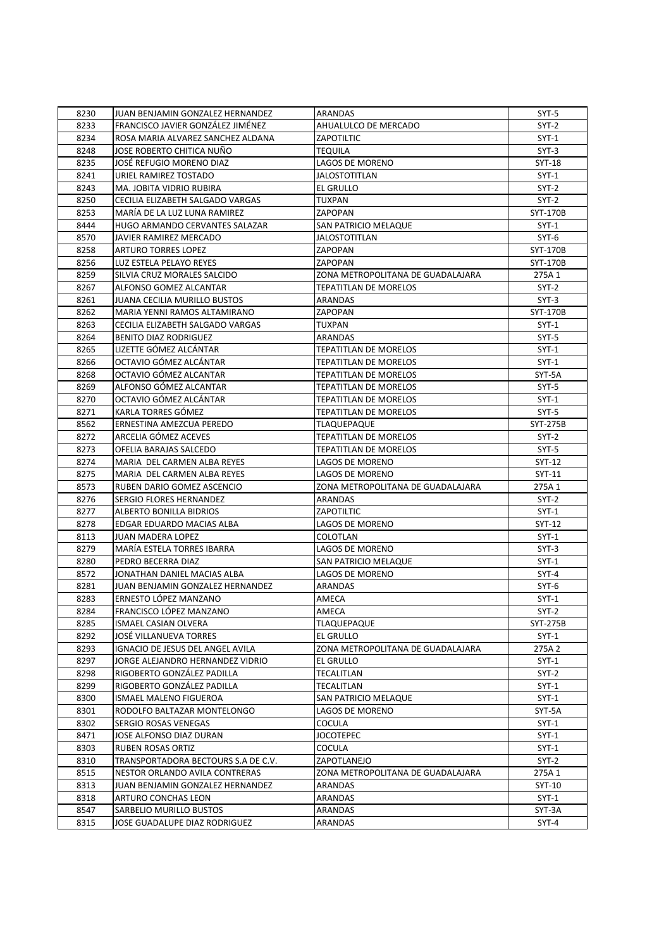| 8230 | JUAN BENJAMIN GONZALEZ HERNANDEZ    | ARANDAS                           | SYT-5         |
|------|-------------------------------------|-----------------------------------|---------------|
| 8233 | FRANCISCO JAVIER GONZÁLEZ JIMÉNEZ   | AHUALULCO DE MERCADO              | $SYT-2$       |
| 8234 | ROSA MARIA ALVAREZ SANCHEZ ALDANA   | <b>ZAPOTILTIC</b>                 | SYT-1         |
| 8248 | JOSE ROBERTO CHITICA NUÑO           | <b>TEQUILA</b>                    | $SYT-3$       |
| 8235 | JOSÉ REFUGIO MORENO DIAZ            | LAGOS DE MORENO                   | <b>SYT-18</b> |
| 8241 | URIEL RAMIREZ TOSTADO               | <b>JALOSTOTITLAN</b>              | SYT-1         |
| 8243 | MA. JOBITA VIDRIO RUBIRA            | EL GRULLO                         | SYT-2         |
| 8250 | CECILIA ELIZABETH SALGADO VARGAS    | TUXPAN                            | $SYT-2$       |
| 8253 | MARÍA DE LA LUZ LUNA RAMIREZ        | ZAPOPAN                           | SYT-170B      |
| 8444 | HUGO ARMANDO CERVANTES SALAZAR      | SAN PATRICIO MELAQUE              | $SYT-1$       |
| 8570 | <b>JAVIER RAMIREZ MERCADO</b>       | <b>JALOSTOTITLAN</b>              | $SYT-6$       |
| 8258 | <b>ARTURO TORRES LOPEZ</b>          | ZAPOPAN                           | SYT-170B      |
| 8256 | LUZ ESTELA PELAYO REYES             | ZAPOPAN                           | SYT-170B      |
| 8259 | SILVIA CRUZ MORALES SALCIDO         | ZONA METROPOLITANA DE GUADALAJARA | 275A 1        |
| 8267 | ALFONSO GOMEZ ALCANTAR              | <b>TEPATITLAN DE MORELOS</b>      | $SYT-2$       |
| 8261 | <b>JUANA CECILIA MURILLO BUSTOS</b> | ARANDAS                           | $SYT-3$       |
| 8262 | MARIA YENNI RAMOS ALTAMIRANO        | ZAPOPAN                           | SYT-170B      |
| 8263 | CECILIA ELIZABETH SALGADO VARGAS    | <b>TUXPAN</b>                     | $SYT-1$       |
| 8264 | <b>BENITO DIAZ RODRIGUEZ</b>        | <b>ARANDAS</b>                    | SYT-5         |
| 8265 | LIZETTE GÓMEZ ALCÁNTAR              | TEPATITLAN DE MORELOS             | $SYT-1$       |
| 8266 | OCTAVIO GÓMEZ ALCÁNTAR              | <b>TEPATITLAN DE MORELOS</b>      | $SYT-1$       |
| 8268 | OCTAVIO GÓMEZ ALCANTAR              | <b>TEPATITLAN DE MORELOS</b>      | SYT-5A        |
| 8269 | ALFONSO GÓMEZ ALCANTAR              | <b>TEPATITLAN DE MORELOS</b>      | $SYT-5$       |
| 8270 | OCTAVIO GÓMEZ ALCÁNTAR              | TEPATITLAN DE MORELOS             | $SYT-1$       |
| 8271 | KARLA TORRES GÓMEZ                  | <b>TEPATITLAN DE MORELOS</b>      | SYT-5         |
| 8562 | ERNESTINA AMEZCUA PEREDO            | TLAQUEPAQUE                       | SYT-275B      |
| 8272 | ARCELIA GÓMEZ ACEVES                | <b>TEPATITLAN DE MORELOS</b>      | $SYT-2$       |
| 8273 | OFELIA BARAJAS SALCEDO              | TEPATITLAN DE MORELOS             | SYT-5         |
| 8274 | MARIA DEL CARMEN ALBA REYES         | LAGOS DE MORENO                   | SYT-12        |
| 8275 | MARIA DEL CARMEN ALBA REYES         | LAGOS DE MORENO                   | SYT-11        |
| 8573 | RUBEN DARIO GOMEZ ASCENCIO          | ZONA METROPOLITANA DE GUADALAJARA | 275A 1        |
| 8276 | SERGIO FLORES HERNANDEZ             | ARANDAS                           | SYT-2         |
| 8277 | ALBERTO BONILLA BIDRIOS             | ZAPOTILTIC                        | $SYT-1$       |
| 8278 | EDGAR EDUARDO MACIAS ALBA           | LAGOS DE MORENO                   | SYT-12        |
| 8113 | <b>JUAN MADERA LOPEZ</b>            | COLOTLAN                          | $SYT-1$       |
| 8279 | MARÍA ESTELA TORRES IBARRA          | LAGOS DE MORENO                   | $SYT-3$       |
| 8280 | PEDRO BECERRA DIAZ                  | <b>SAN PATRICIO MELAQUE</b>       | $SYT-1$       |
| 8572 | JONATHAN DANIEL MACIAS ALBA         | LAGOS DE MORENO                   | $SYT-4$       |
| 8281 | JUAN BENJAMIN GONZALEZ HERNANDEZ    | ARANDAS                           | SYT-6         |
| 8283 | ERNESTO LÓPEZ MANZANO               | AMECA                             | $SYT-1$       |
| 8284 | FRANCISCO LÓPEZ MANZANO             | AMECA                             | $SYT-2$       |
| 8285 | ISMAEL CASIAN OLVERA                | <b>TLAQUEPAQUE</b>                | SYT-275B      |
| 8292 | JOSĖ VILLANUEVA TORRES              | EL GRULLO                         | $SYT-1$       |
| 8293 | IGNACIO DE JESUS DEL ANGEL AVILA    | ZONA METROPOLITANA DE GUADALAJARA | 275A 2        |
| 8297 | JORGE ALEJANDRO HERNANDEZ VIDRIO    | EL GRULLO                         | $SYT-1$       |
| 8298 | RIGOBERTO GONZÁLEZ PADILLA          | TECALITLAN                        | $SYT-2$       |
| 8299 | RIGOBERTO GONZÁLEZ PADILLA          | TECALITLAN                        | $SYT-1$       |
| 8300 | ISMAEL MALENO FIGUEROA              | SAN PATRICIO MELAQUE              | $SYT-1$       |
| 8301 | RODOLFO BALTAZAR MONTELONGO         | LAGOS DE MORENO                   | SYT-5A        |
| 8302 | SERGIO ROSAS VENEGAS                | COCULA                            | $SYT-1$       |
| 8471 | JOSE ALFONSO DIAZ DURAN             | JOCOTEPEC                         | $SYT-1$       |
| 8303 | RUBEN ROSAS ORTIZ                   | COCULA                            | $SYT-1$       |
| 8310 | TRANSPORTADORA BECTOURS S.A DE C.V. | ZAPOTLANEJO                       | SYT-2         |
| 8515 | NESTOR ORLANDO AVILA CONTRERAS      | ZONA METROPOLITANA DE GUADALAJARA | 275A 1        |
| 8313 | JUAN BENJAMIN GONZALEZ HERNANDEZ    | ARANDAS                           | SYT-10        |
| 8318 | ARTURO CONCHAS LEON                 | ARANDAS                           | $SYT-1$       |
| 8547 | SARBELIO MURILLO BUSTOS             | ARANDAS                           | SYT-3A        |
| 8315 | JOSE GUADALUPE DIAZ RODRIGUEZ       | ARANDAS                           | $SYT-4$       |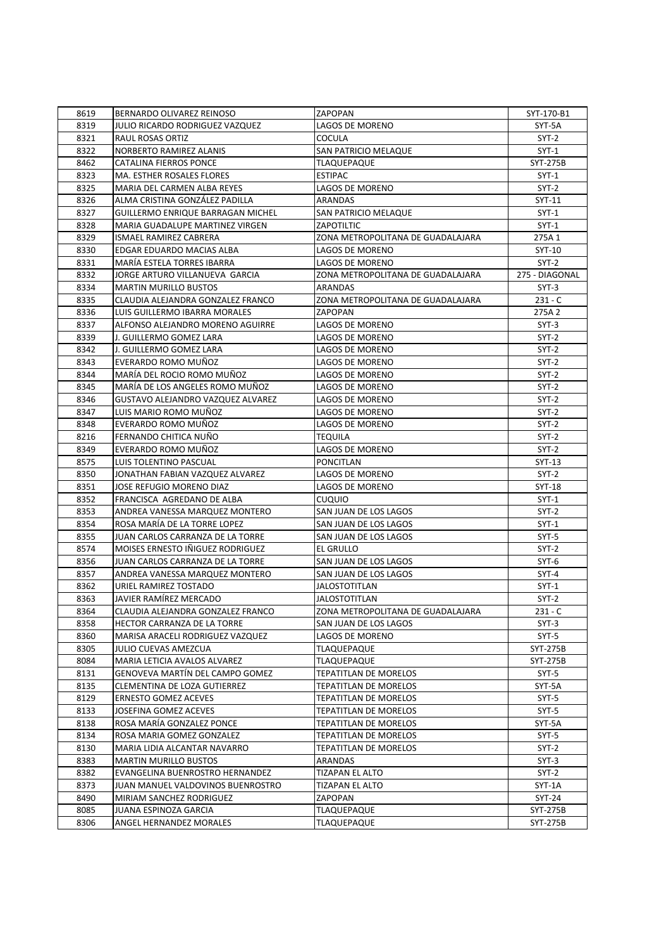| 8619 | BERNARDO OLIVAREZ REINOSO                                            | ZAPOPAN                           | SYT-170-B1      |
|------|----------------------------------------------------------------------|-----------------------------------|-----------------|
| 8319 | JULIO RICARDO RODRIGUEZ VAZQUEZ                                      | LAGOS DE MORENO                   | SYT-5A          |
| 8321 | <b>RAUL ROSAS ORTIZ</b>                                              | <b>COCULA</b>                     | $SYT-2$         |
| 8322 | NORBERTO RAMIREZ ALANIS                                              | SAN PATRICIO MELAQUE              | $SYT-1$         |
| 8462 | CATALINA FIERROS PONCE                                               | <b>TLAQUEPAQUE</b>                | <b>SYT-275B</b> |
| 8323 | MA. ESTHER ROSALES FLORES                                            | <b>ESTIPAC</b>                    | $SYT-1$         |
| 8325 | MARIA DEL CARMEN ALBA REYES                                          | LAGOS DE MORENO                   | $SYT-2$         |
| 8326 | ALMA CRISTINA GONZALEZ PADILLA                                       | ARANDAS                           | SYT-11          |
| 8327 | GUILLERMO ENRIQUE BARRAGAN MICHEL                                    | SAN PATRICIO MELAQUE              | $SYT-1$         |
| 8328 | MARIA GUADALUPE MARTINEZ VIRGEN                                      | <b>ZAPOTILTIC</b>                 | $SYT-1$         |
| 8329 | ISMAEL RAMIREZ CABRERA                                               | ZONA METROPOLITANA DE GUADALAJARA | 275A 1          |
| 8330 | EDGAR EDUARDO MACIAS ALBA                                            | LAGOS DE MORENO                   | SYT-10          |
| 8331 | MARÍA ESTELA TORRES IBARRA                                           | LAGOS DE MORENO                   | $SYT-2$         |
| 8332 | JORGE ARTURO VILLANUEVA GARCIA                                       | ZONA METROPOLITANA DE GUADALAJARA | 275 - DIAGONAL  |
| 8334 | <b>MARTIN MURILLO BUSTOS</b>                                         | ARANDAS                           | $SYT-3$         |
| 8335 | CLAUDIA ALEJANDRA GONZALEZ FRANCO                                    | ZONA METROPOLITANA DE GUADALAJARA | $231 - C$       |
| 8336 | LUIS GUILLERMO IBARRA MORALES                                        | ZAPOPAN                           | 275A 2          |
| 8337 | ALFONSO ALEJANDRO MORENO AGUIRRE                                     | <b>LAGOS DE MORENO</b>            | $SYT-3$         |
| 8339 | J. GUILLERMO GOMEZ LARA                                              | LAGOS DE MORENO                   | $SYT-2$         |
| 8342 | J. GUILLERMO GOMEZ LARA                                              | LAGOS DE MORENO                   | $SYT-2$         |
| 8343 | EVERARDO ROMO MUÑOZ                                                  | LAGOS DE MORENO                   | $SYT-2$         |
| 8344 | MARÍA DEL ROCIO ROMO MUÑOZ                                           | LAGOS DE MORENO                   | $SYT-2$         |
| 8345 | MARÍA DE LOS ANGELES ROMO MUÑOZ                                      | LAGOS DE MORENO                   | $SYT-2$         |
|      | <b>GUSTAVO ALEJANDRO VAZQUEZ ALVAREZ</b>                             | LAGOS DE MORENO                   | $SYT-2$         |
| 8346 |                                                                      | LAGOS DE MORENO                   |                 |
| 8347 | LUIS MARIO ROMO MUÑOZ                                                |                                   | $SYT-2$         |
| 8348 | EVERARDO ROMO MUÑOZ                                                  | LAGOS DE MORENO                   | $SYT-2$         |
| 8216 | FERNANDO CHITICA NUÑO                                                | <b>TEQUILA</b>                    | $SYT-2$         |
| 8349 | EVERARDO ROMO MUÑOZ                                                  | LAGOS DE MORENO                   | $SYT-2$         |
| 8575 | LUIS TOLENTINO PASCUAL                                               | PONCITLAN                         | SYT-13          |
| 8350 | JONATHAN FABIAN VAZQUEZ ALVAREZ                                      | LAGOS DE MORENO                   | $SYT-2$         |
| 8351 | JOSE REFUGIO MORENO DIAZ                                             | LAGOS DE MORENO                   | <b>SYT-18</b>   |
| 8352 | FRANCISCA AGREDANO DE ALBA                                           | <b>CUQUIO</b>                     | $SYT-1$         |
| 8353 | ANDREA VANESSA MARQUEZ MONTERO                                       | SAN JUAN DE LOS LAGOS             | SYT-2           |
| 8354 | ROSA MARÍA DE LA TORRE LOPEZ                                         | SAN JUAN DE LOS LAGOS             | $SYT-1$         |
| 8355 | JUAN CARLOS CARRANZA DE LA TORRE<br>MOISES ERNESTO IÑIGUEZ RODRIGUEZ | SAN JUAN DE LOS LAGOS             | $SYT-5$         |
| 8574 |                                                                      | EL GRULLO                         | $SYT-2$         |
| 8356 | JUAN CARLOS CARRANZA DE LA TORRE                                     | SAN JUAN DE LOS LAGOS             | $SYT-6$         |
| 8357 | ANDREA VANESSA MARQUEZ MONTERO                                       | SAN JUAN DE LOS LAGOS             | SYT-4           |
| 8362 | URIEL RAMIREZ TOSTADO                                                | JALOSTOTITLAN                     | $SYT-1$         |
| 8363 | JAVIER RAMÍREZ MERCADO                                               | JALOSTOTITLAN                     | $SYT-2$         |
| 8364 | CLAUDIA ALEJANDRA GONZALEZ FRANCO                                    | ZONA METROPOLITANA DE GUADALAJARA | $231 - C$       |
| 8358 | HECTOR CARRANZA DE LA TORRE                                          | SAN JUAN DE LOS LAGOS             | $SYT-3$         |
| 8360 | MARISA ARACELI RODRIGUEZ VAZQUEZ                                     | LAGOS DE MORENO                   | SYT-5           |
| 8305 | JULIO CUEVAS AMEZCUA                                                 | TLAQUEPAQUE                       | SYT-275B        |
| 8084 | MARIA LETICIA AVALOS ALVAREZ                                         | TLAQUEPAQUE                       | SYT-275B        |
| 8131 | GENOVEVA MARTÍN DEL CAMPO GOMEZ                                      | TEPATITLAN DE MORELOS             | SYT-5           |
| 8135 | CLEMENTINA DE LOZA GUTIERREZ                                         | TEPATITLAN DE MORELOS             | SYT-5A          |
| 8129 | <b>ERNESTO GOMEZ ACEVES</b>                                          | TEPATITLAN DE MORELOS             | SYT-5           |
| 8133 | JOSEFINA GOMEZ ACEVES                                                | <b>TEPATITLAN DE MORELOS</b>      | SYT-5           |
| 8138 | ROSA MARÍA GONZALEZ PONCE                                            | TEPATITLAN DE MORELOS             | SYT-5A          |
| 8134 | ROSA MARIA GOMEZ GONZALEZ                                            | TEPATITLAN DE MORELOS             | SYT-5           |
| 8130 | MARIA LIDIA ALCANTAR NAVARRO                                         | TEPATITLAN DE MORELOS             | SYT-2           |
| 8383 | <b>MARTIN MURILLO BUSTOS</b>                                         | ARANDAS                           | $SYT-3$         |
| 8382 | EVANGELINA BUENROSTRO HERNANDEZ                                      | <b>TIZAPAN EL ALTO</b>            | $SYT-2$         |
| 8373 | JUAN MANUEL VALDOVINOS BUENROSTRO                                    | TIZAPAN EL ALTO                   | SYT-1A          |
| 8490 | MIRIAM SANCHEZ RODRIGUEZ                                             | ZAPOPAN                           | SYT-24          |
| 8085 | JUANA ESPINOZA GARCIA                                                | <b>TLAQUEPAQUE</b>                | SYT-275B        |
| 8306 | ANGEL HERNANDEZ MORALES                                              | TLAQUEPAQUE                       | SYT-275B        |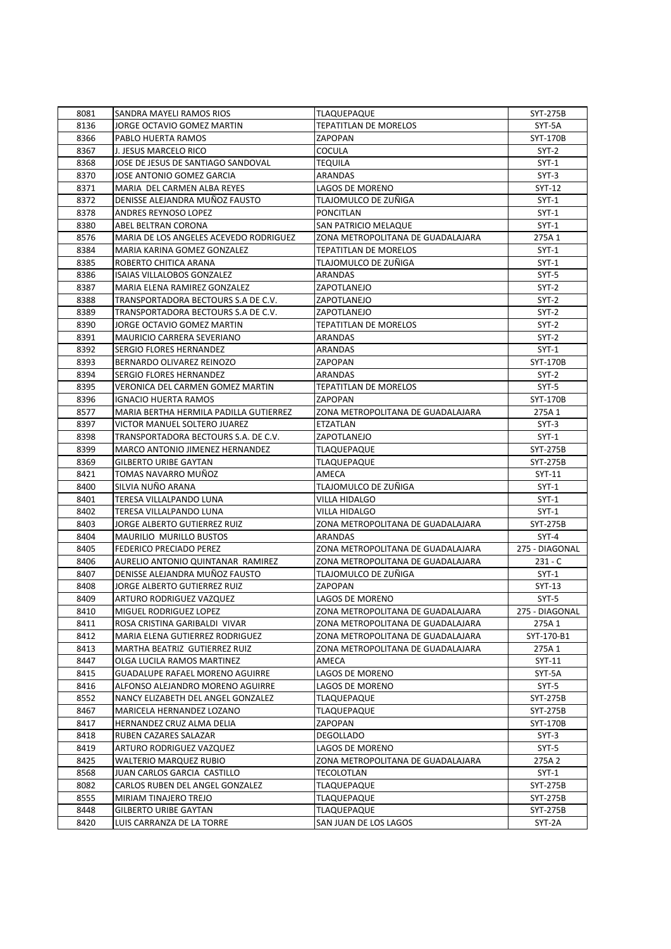| 8081 | SANDRA MAYELI RAMOS RIOS               | <b>TLAQUEPAQUE</b>                | SYT-275B       |
|------|----------------------------------------|-----------------------------------|----------------|
| 8136 | JORGE OCTAVIO GOMEZ MARTIN             | TEPATITLAN DE MORELOS             | SYT-5A         |
| 8366 | PABLO HUERTA RAMOS                     | ZAPOPAN                           | SYT-170B       |
| 8367 | J. JESUS MARCELO RICO                  | <b>COCULA</b>                     | $SYT-2$        |
| 8368 | JOSE DE JESUS DE SANTIAGO SANDOVAL     | TEQUILA                           | $SYT-1$        |
| 8370 | JOSE ANTONIO GOMEZ GARCIA              | <b>ARANDAS</b>                    | $SYT-3$        |
| 8371 | MARIA DEL CARMEN ALBA REYES            | LAGOS DE MORENO                   | SYT-12         |
| 8372 | DENISSE ALEJANDRA MUÑOZ FAUSTO         | TLAJOMULCO DE ZUÑIGA              | $SYT-1$        |
| 8378 | ANDRES REYNOSO LOPEZ                   | PONCITLAN                         | $SYT-1$        |
| 8380 | ABEL BELTRAN CORONA                    | SAN PATRICIO MELAQUE              | $SYT-1$        |
| 8576 | MARIA DE LOS ANGELES ACEVEDO RODRIGUEZ | ZONA METROPOLITANA DE GUADALAJARA | 275A 1         |
| 8384 | MARIA KARINA GOMEZ GONZALEZ            | <b>TEPATITLAN DE MORELOS</b>      | $SYT-1$        |
| 8385 | ROBERTO CHITICA ARANA                  | TLAJOMULCO DE ZUÑIGA              | $SYT-1$        |
| 8386 | ISAIAS VILLALOBOS GONZALEZ             | ARANDAS                           | SYT-5          |
| 8387 | MARIA ELENA RAMIREZ GONZALEZ           | ZAPOTLANEJO                       | $SYT-2$        |
| 8388 | TRANSPORTADORA BECTOURS S.A DE C.V.    | ZAPOTLANEJO                       | $SYT-2$        |
| 8389 | TRANSPORTADORA BECTOURS S.A DE C.V.    | ZAPOTLANEJO                       | $SYT-2$        |
| 8390 | JORGE OCTAVIO GOMEZ MARTIN             | <b>TEPATITLAN DE MORELOS</b>      | $SYT-2$        |
| 8391 | <b>MAURICIO CARRERA SEVERIANO</b>      | <b>ARANDAS</b>                    | $SYT-2$        |
| 8392 | SERGIO FLORES HERNANDEZ                | ARANDAS                           | $SYT-1$        |
| 8393 | BERNARDO OLIVAREZ REINOZO              | ZAPOPAN                           | SYT-170B       |
| 8394 | SERGIO FLORES HERNANDEZ                | ARANDAS                           | SYT-2          |
| 8395 | VERONICA DEL CARMEN GOMEZ MARTIN       | <b>TEPATITLAN DE MORELOS</b>      | $SYT-5$        |
| 8396 | <b>IGNACIO HUERTA RAMOS</b>            | ZAPOPAN                           | SYT-170B       |
| 8577 | MARIA BERTHA HERMILA PADILLA GUTIERREZ | ZONA METROPOLITANA DE GUADALAJARA | 275A 1         |
| 8397 | VICTOR MANUEL SOLTERO JUAREZ           | ETZATLAN                          | $SYT-3$        |
| 8398 | TRANSPORTADORA BECTOURS S.A. DE C.V.   | ZAPOTLANEJO                       | $SYT-1$        |
| 8399 | MARCO ANTONIO JIMENEZ HERNANDEZ        | TLAQUEPAQUE                       | SYT-275B       |
| 8369 | <b>GILBERTO URIBE GAYTAN</b>           | TLAQUEPAQUE                       | SYT-275B       |
| 8421 | TOMAS NAVARRO MUÑOZ                    | AMECA                             | SYT-11         |
| 8400 | SILVIA NUÑO ARANA                      | TLAJOMULCO DE ZUÑIGA              | $SYT-1$        |
| 8401 | TERESA VILLALPANDO LUNA                | VILLA HIDALGO                     | SYT-1          |
| 8402 | TERESA VILLALPANDO LUNA                | VILLA HIDALGO                     | $SYT-1$        |
| 8403 | JORGE ALBERTO GUTIERREZ RUIZ           | ZONA METROPOLITANA DE GUADALAJARA | SYT-275B       |
| 8404 | <b>MAURILIO MURILLO BUSTOS</b>         | ARANDAS                           | $SYT-4$        |
| 8405 | FEDERICO PRECIADO PEREZ                | ZONA METROPOLITANA DE GUADALAJARA | 275 - DIAGONAL |
| 8406 | AURELIO ANTONIO QUINTANAR RAMIREZ      | ZONA METROPOLITANA DE GUADALAJARA | $231 - C$      |
| 8407 | DENISSE ALEJANDRA MUÑOZ FAUSTO         | TLAJOMULCO DE ZUÑIGA              | $SYT-1$        |
| 8408 | JORGE ALBERTO GUTIERREZ RUIZ           | ZAPOPAN                           | SYT-13         |
| 8409 | ARTURO RODRIGUEZ VAZQUEZ               | LAGOS DE MORENO                   | $SYT-5$        |
| 8410 | MIGUEL RODRIGUEZ LOPEZ                 | ZONA METROPOLITANA DE GUADALAJARA | 275 - DIAGONAL |
| 8411 | ROSA CRISTINA GARIBALDI VIVAR          | ZONA METROPOLITANA DE GUADALAJARA | 275A 1         |
| 8412 | MARIA ELENA GUTIERREZ RODRIGUEZ        | ZONA METROPOLITANA DE GUADALAJARA | SYT-170-B1     |
| 8413 | MARTHA BEATRIZ GUTIERREZ RUIZ          | ZONA METROPOLITANA DE GUADALAJARA | 275A 1         |
| 8447 | OLGA LUCILA RAMOS MARTINEZ             | AMECA                             | SYT-11         |
| 8415 | <b>GUADALUPE RAFAEL MORENO AGUIRRE</b> | LAGOS DE MORENO                   | SYT-5A         |
| 8416 | ALFONSO ALEJANDRO MORENO AGUIRRE       | LAGOS DE MORENO                   | SYT-5          |
| 8552 | NANCY ELIZABETH DEL ANGEL GONZALEZ     | TLAQUEPAQUE                       | SYT-275B       |
| 8467 | MARICELA HERNANDEZ LOZANO              | TLAQUEPAQUE                       | SYT-275B       |
| 8417 | HERNANDEZ CRUZ ALMA DELIA              | ZAPOPAN                           | SYT-170B       |
| 8418 | RUBEN CAZARES SALAZAR                  | <b>DEGOLLADO</b>                  | $SYT-3$        |
| 8419 | ARTURO RODRIGUEZ VAZQUEZ               | LAGOS DE MORENO                   | SYT-5          |
| 8425 | WALTERIO MARQUEZ RUBIO                 | ZONA METROPOLITANA DE GUADALAJARA | 275A 2         |
| 8568 | JUAN CARLOS GARCIA CASTILLO            | TECOLOTLAN                        | $SYT-1$        |
| 8082 | CARLOS RUBEN DEL ANGEL GONZALEZ        | <b>TLAQUEPAQUE</b>                | SYT-275B       |
| 8555 | MIRIAM TINAJERO TREJO                  | TLAQUEPAQUE                       | SYT-275B       |
| 8448 | <b>GILBERTO URIBE GAYTAN</b>           | TLAQUEPAQUE                       | SYT-275B       |
| 8420 | LUIS CARRANZA DE LA TORRE              | SAN JUAN DE LOS LAGOS             | SYT-2A         |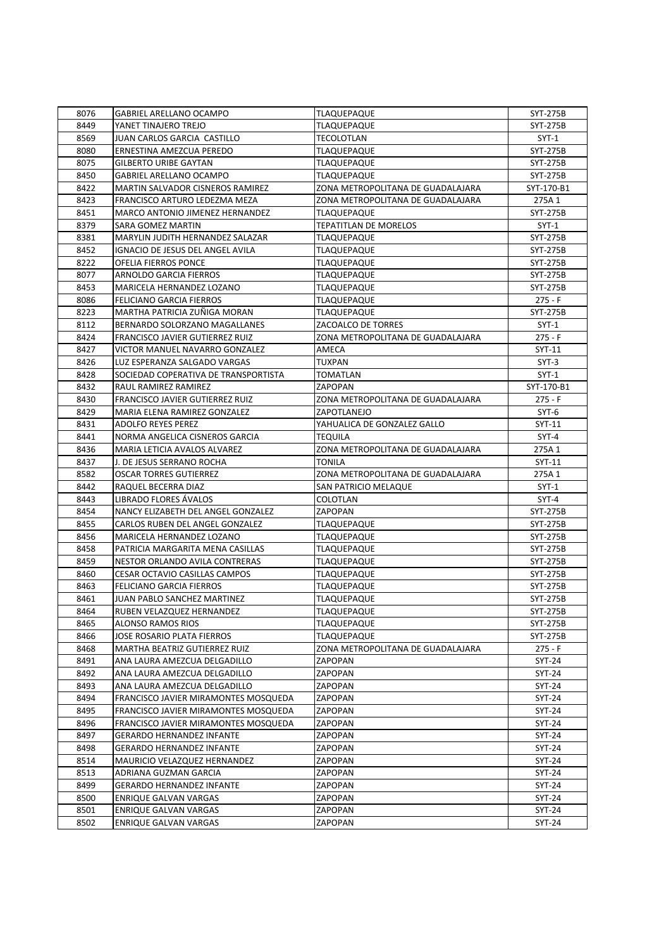| 8076 | <b>GABRIEL ARELLANO OCAMPO</b>       | <b>TLAQUEPAQUE</b>                | SYT-275B        |
|------|--------------------------------------|-----------------------------------|-----------------|
| 8449 | YANET TINAJERO TREJO                 | TLAQUEPAQUE                       | SYT-275B        |
| 8569 | <b>JUAN CARLOS GARCIA CASTILLO</b>   | TECOLOTLAN                        | SYT-1           |
| 8080 | ERNESTINA AMEZCUA PEREDO             | <b>TLAQUEPAQUE</b>                | SYT-275B        |
| 8075 | <b>GILBERTO URIBE GAYTAN</b>         | TLAQUEPAQUE                       | <b>SYT-275B</b> |
| 8450 | <b>GABRIEL ARELLANO OCAMPO</b>       | <b>TLAQUEPAQUE</b>                | SYT-275B        |
| 8422 | MARTIN SALVADOR CISNEROS RAMIREZ     | ZONA METROPOLITANA DE GUADALAJARA | SYT-170-B1      |
| 8423 | FRANCISCO ARTURO LEDEZMA MEZA        | ZONA METROPOLITANA DE GUADALAJARA | 275A 1          |
| 8451 | MARCO ANTONIO JIMENEZ HERNANDEZ      | TLAQUEPAQUE                       | SYT-275B        |
| 8379 | <b>SARA GOMEZ MARTIN</b>             | TEPATITLAN DE MORELOS             | $SYT-1$         |
| 8381 | MARYLIN JUDITH HERNANDEZ SALAZAR     | <b>TLAQUEPAQUE</b>                | SYT-275B        |
| 8452 | IGNACIO DE JESUS DEL ANGEL AVILA     | TLAQUEPAQUE                       | SYT-275B        |
| 8222 | OFELIA FIERROS PONCE                 | TLAQUEPAQUE                       | SYT-275B        |
| 8077 | ARNOLDO GARCIA FIERROS               | TLAQUEPAQUE                       | SYT-275B        |
| 8453 | MARICELA HERNANDEZ LOZANO            | TLAQUEPAQUE                       | SYT-275B        |
| 8086 | <b>FELICIANO GARCIA FIERROS</b>      | <b>TLAQUEPAQUE</b>                | $275 - F$       |
| 8223 | MARTHA PATRICIA ZUÑIGA MORAN         | TLAQUEPAQUE                       | SYT-275B        |
| 8112 | BERNARDO SOLORZANO MAGALLANES        | ZACOALCO DE TORRES                | $SYT-1$         |
| 8424 | FRANCISCO JAVIER GUTIERREZ RUIZ      | ZONA METROPOLITANA DE GUADALAJARA | 275 - F         |
| 8427 | VICTOR MANUEL NAVARRO GONZALEZ       | AMECA                             | SYT-11          |
| 8426 | LUZ ESPERANZA SALGADO VARGAS         | TUXPAN                            | $SYT-3$         |
| 8428 | SOCIEDAD COPERATIVA DE TRANSPORTISTA | TOMATLAN                          | $SYT-1$         |
| 8432 | RAUL RAMIREZ RAMIREZ                 | ZAPOPAN                           | SYT-170-B1      |
| 8430 | FRANCISCO JAVIER GUTIERREZ RUIZ      | ZONA METROPOLITANA DE GUADALAJARA | 275 - F         |
| 8429 | MARIA ELENA RAMIREZ GONZALEZ         | ZAPOTLANEJO                       | $SYT-6$         |
| 8431 | ADOLFO REYES PEREZ                   | YAHUALICA DE GONZALEZ GALLO       | SYT-11          |
| 8441 | NORMA ANGELICA CISNEROS GARCIA       | TEQUILA                           | SYT-4           |
| 8436 | MARIA LETICIA AVALOS ALVAREZ         | ZONA METROPOLITANA DE GUADALAJARA | 275A 1          |
| 8437 | J. DE JESUS SERRANO ROCHA            | TONILA                            | SYT-11          |
| 8582 | <b>OSCAR TORRES GUTIERREZ</b>        | ZONA METROPOLITANA DE GUADALAJARA | 275A 1          |
| 8442 | RAQUEL BECERRA DIAZ                  | SAN PATRICIO MELAQUE              | $SYT-1$         |
| 8443 | LIBRADO FLORES AVALOS                | COLOTLAN                          | SYT-4           |
| 8454 | NANCY ELIZABETH DEL ANGEL GONZALEZ   | ZAPOPAN                           | SYT-275B        |
| 8455 | CARLOS RUBEN DEL ANGEL GONZALEZ      | TLAQUEPAQUE                       | SYT-275B        |
| 8456 | MARICELA HERNANDEZ LOZANO            | TLAQUEPAQUE                       | SYT-275B        |
| 8458 | PATRICIA MARGARITA MENA CASILLAS     | <b>TLAQUEPAQUE</b>                | <b>SYT-275B</b> |
| 8459 | NESTOR ORLANDO AVILA CONTRERAS       | TLAQUEPAQUE                       | SYT-275B        |
| 8460 | <b>CESAR OCTAVIO CASILLAS CAMPOS</b> | TLAQUEPAQUE                       | SYT-275B        |
| 8463 | FELICIANO GARCIA FIERROS             | TLAQUEPAQUE                       | SYT-275B        |
| 8461 | JUAN PABLO SANCHEZ MARTINEZ          | <b>TLAQUEPAQUE</b>                | <b>SYT-275B</b> |
| 8464 | RUBEN VELAZQUEZ HERNANDEZ            | <b>TLAQUEPAQUE</b>                | SYT-275B        |
| 8465 | ALONSO RAMOS RIOS                    | <b>TLAQUEPAQUE</b>                | SYT-275B        |
| 8466 | JOSE ROSARIO PLATA FIERROS           | TLAQUEPAQUE                       | SYT-275B        |
| 8468 | MARTHA BEATRIZ GUTIERREZ RUIZ        | ZONA METROPOLITANA DE GUADALAJARA | 275 - F         |
| 8491 | ANA LAURA AMEZCUA DELGADILLO         | ZAPOPAN                           | $SYT-24$        |
| 8492 | ANA LAURA AMEZCUA DELGADILLO         | ZAPOPAN                           | SYT-24          |
| 8493 | ANA LAURA AMEZCUA DELGADILLO         | ZAPOPAN                           | SYT-24          |
| 8494 | FRANCISCO JAVIER MIRAMONTES MOSQUEDA | ZAPOPAN                           | $SYT-24$        |
| 8495 | FRANCISCO JAVIER MIRAMONTES MOSQUEDA | ZAPOPAN                           | SYT-24          |
| 8496 | FRANCISCO JAVIER MIRAMONTES MOSQUEDA | ZAPOPAN                           | $SYT-24$        |
| 8497 | <b>GERARDO HERNANDEZ INFANTE</b>     | ZAPOPAN                           | $SYT-24$        |
| 8498 | <b>GERARDO HERNANDEZ INFANTE</b>     | ZAPOPAN                           | SYT-24          |
| 8514 | MAURICIO VELAZQUEZ HERNANDEZ         | ZAPOPAN                           | SYT-24          |
| 8513 | ADRIANA GUZMAN GARCIA                | ZAPOPAN                           | $SYT-24$        |
| 8499 | <b>GERARDO HERNANDEZ INFANTE</b>     | ZAPOPAN                           | SYT-24          |
| 8500 | ENRIQUE GALVAN VARGAS                | ZAPOPAN                           | $SYT-24$        |
| 8501 | <b>ENRIQUE GALVAN VARGAS</b>         | ZAPOPAN                           | SYT-24          |
| 8502 | <b>ENRIQUE GALVAN VARGAS</b>         | ZAPOPAN                           | SYT-24          |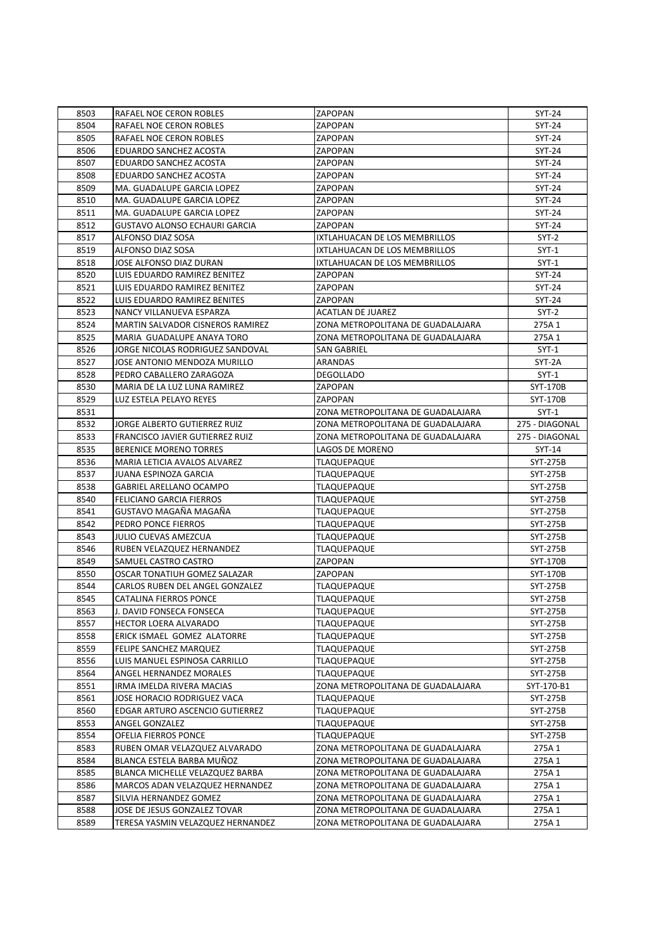| 8503 | RAFAEL NOE CERON ROBLES              | <b>ZAPOPAN</b>                    | $SYT-24$        |
|------|--------------------------------------|-----------------------------------|-----------------|
| 8504 | RAFAEL NOE CERON ROBLES              | ZAPOPAN                           | SYT-24          |
| 8505 | RAFAEL NOE CERON ROBLES              | ZAPOPAN                           | SYT-24          |
| 8506 | EDUARDO SANCHEZ ACOSTA               | ZAPOPAN                           | SYT-24          |
| 8507 | <b>EDUARDO SANCHEZ ACOSTA</b>        | ZAPOPAN                           | SYT-24          |
| 8508 | EDUARDO SANCHEZ ACOSTA               | ZAPOPAN                           | SYT-24          |
| 8509 | MA. GUADALUPE GARCIA LOPEZ           | ZAPOPAN                           | SYT-24          |
| 8510 | MA. GUADALUPE GARCIA LOPEZ           | ZAPOPAN                           | SYT-24          |
| 8511 | MA. GUADALUPE GARCIA LOPEZ           | ZAPOPAN                           | SYT-24          |
| 8512 | <b>GUSTAVO ALONSO ECHAURI GARCIA</b> | ZAPOPAN                           | SYT-24          |
| 8517 | ALFONSO DIAZ SOSA                    | IXTLAHUACAN DE LOS MEMBRILLOS     | $SYT-2$         |
| 8519 | ALFONSO DIAZ SOSA                    | IXTLAHUACAN DE LOS MEMBRILLOS     | $SYT-1$         |
| 8518 | JOSE ALFONSO DIAZ DURAN              | IXTLAHUACAN DE LOS MEMBRILLOS     | $SYT-1$         |
| 8520 | LUIS EDUARDO RAMIREZ BENITEZ         | ZAPOPAN                           | SYT-24          |
| 8521 | LUIS EDUARDO RAMIREZ BENITEZ         | ZAPOPAN                           | SYT-24          |
| 8522 | LUIS EDUARDO RAMIREZ BENITES         | <b>ZAPOPAN</b>                    | SYT-24          |
| 8523 | NANCY VILLANUEVA ESPARZA             | <b>ACATLAN DE JUAREZ</b>          | SYT-2           |
| 8524 | MARTIN SALVADOR CISNEROS RAMIREZ     | ZONA METROPOLITANA DE GUADALAJARA | 275A 1          |
| 8525 | MARIA GUADALUPE ANAYA TORO           | ZONA METROPOLITANA DE GUADALAJARA | 275A 1          |
| 8526 | JORGE NICOLAS RODRIGUEZ SANDOVAL     | SAN GABRIEL                       | $SYT-1$         |
| 8527 | JOSE ANTONIO MENDOZA MURILLO         | ARANDAS                           | SYT-2A          |
| 8528 | PEDRO CABALLERO ZARAGOZA             | <b>DEGOLLADO</b>                  | $SYT-1$         |
| 8530 | MARIA DE LA LUZ LUNA RAMIREZ         | ZAPOPAN                           | SYT-170B        |
|      |                                      | ZAPOPAN                           | SYT-170B        |
| 8529 | LUZ ESTELA PELAYO REYES              |                                   |                 |
| 8531 |                                      | ZONA METROPOLITANA DE GUADALAJARA | $SYT-1$         |
| 8532 | JORGE ALBERTO GUTIERREZ RUIZ         | ZONA METROPOLITANA DE GUADALAJARA | 275 - DIAGONAL  |
| 8533 | FRANCISCO JAVIER GUTIERREZ RUIZ      | ZONA METROPOLITANA DE GUADALAJARA | 275 - DIAGONAL  |
| 8535 | <b>BERENICE MORENO TORRES</b>        | LAGOS DE MORENO                   | $SYT-14$        |
| 8536 | MARIA LETICIA AVALOS ALVAREZ         | <b>TLAQUEPAQUE</b>                | SYT-275B        |
| 8537 | JUANA ESPINOZA GARCIA                | <b>TLAQUEPAQUE</b>                | SYT-275B        |
| 8538 | GABRIEL ARELLANO OCAMPO              | TLAQUEPAQUE                       | SYT-275B        |
| 8540 | <b>FELICIANO GARCIA FIERROS</b>      | <b>TLAQUEPAQUE</b>                | SYT-275B        |
| 8541 | GUSTAVO MAGAÑA MAGAÑA                | <b>TLAQUEPAQUE</b>                | SYT-275B        |
| 8542 | PEDRO PONCE FIERROS                  | TLAQUEPAQUE                       | SYT-275B        |
| 8543 | <b>JULIO CUEVAS AMEZCUA</b>          | <b>TLAQUEPAQUE</b>                | SYT-275B        |
| 8546 | RUBEN VELAZQUEZ HERNANDEZ            | <b>TLAQUEPAQUE</b>                | SYT-275B        |
| 8549 | SAMUEL CASTRO CASTRO                 | ZAPOPAN                           | <b>SYT-170B</b> |
| 8550 | OSCAR TONATIUH GOMEZ SALAZAR         | ZAPOPAN                           | SYT-170B        |
| 8544 | CARLOS RUBEN DEL ANGEL GONZALEZ      | <b>TLAQUEPAQUE</b>                | SYT-275B        |
| 8545 | CATALINA FIERROS PONCE               | <b>TLAQUEPAQUE</b>                | <b>SYT-275B</b> |
| 8563 | J. DAVID FONSECA FONSECA             | <b>TLAQUEPAQUE</b>                | SYT-275B        |
| 8557 | HECTOR LOERA ALVARADO                | <b>TLAQUEPAQUE</b>                | SYT-275B        |
| 8558 | ERICK ISMAEL GOMEZ ALATORRE          | <b>TLAQUEPAQUE</b>                | SYT-275B        |
| 8559 | FELIPE SANCHEZ MARQUEZ               | TLAQUEPAQUE                       | SYT-275B        |
| 8556 | LUIS MANUEL ESPINOSA CARRILLO        | TLAQUEPAQUE                       | SYT-275B        |
| 8564 | ANGEL HERNANDEZ MORALES              | <b>TLAQUEPAQUE</b>                | SYT-275B        |
| 8551 | IRMA IMELDA RIVERA MACIAS            | ZONA METROPOLITANA DE GUADALAJARA | SYT-170-B1      |
| 8561 | JOSE HORACIO RODRIGUEZ VACA          | <b>TLAQUEPAQUE</b>                | SYT-275B        |
| 8560 | EDGAR ARTURO ASCENCIO GUTIERREZ      | <b>TLAQUEPAQUE</b>                | SYT-275B        |
| 8553 | ANGEL GONZALEZ                       | TLAQUEPAQUE                       | SYT-275B        |
| 8554 | OFELIA FIERROS PONCE                 | TLAQUEPAQUE                       | SYT-275B        |
| 8583 | RUBEN OMAR VELAZQUEZ ALVARADO        | ZONA METROPOLITANA DE GUADALAJARA | 275A 1          |
| 8584 | BLANCA ESTELA BARBA MUÑOZ            | ZONA METROPOLITANA DE GUADALAJARA | 275A 1          |
| 8585 | BLANCA MICHELLE VELAZQUEZ BARBA      | ZONA METROPOLITANA DE GUADALAJARA | 275A 1          |
| 8586 | MARCOS ADAN VELAZQUEZ HERNANDEZ      | ZONA METROPOLITANA DE GUADALAJARA | 275A 1          |
| 8587 | SILVIA HERNANDEZ GOMEZ               | ZONA METROPOLITANA DE GUADALAJARA | 275A 1          |
| 8588 | JOSE DE JESUS GONZALEZ TOVAR         | ZONA METROPOLITANA DE GUADALAJARA | 275A 1          |
| 8589 | TERESA YASMIN VELAZQUEZ HERNANDEZ    | ZONA METROPOLITANA DE GUADALAJARA | 275A 1          |